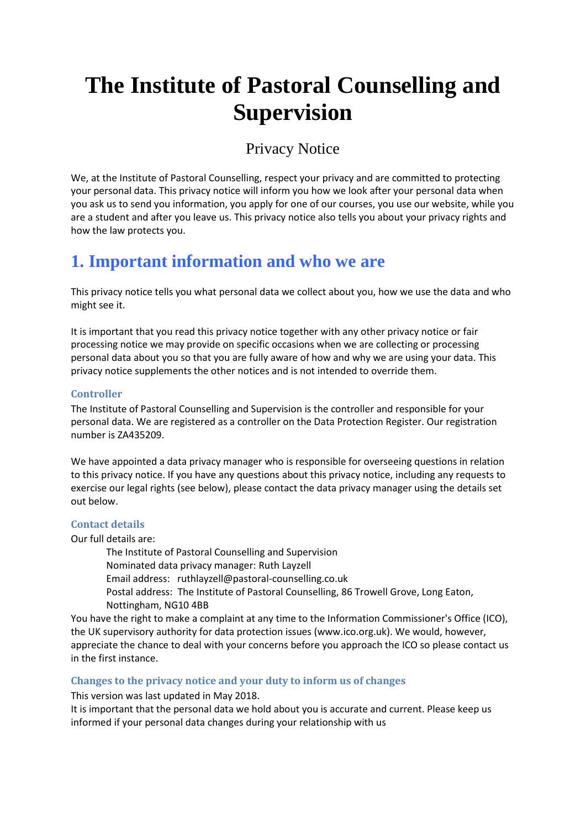# **The Institute of Pastoral Counselling and Supervision**

Privacy Notice

We, at the Institute of Pastoral Counselling, respect your privacy and are committed to protecting your personal data. This privacy notice will inform you how we look after your personal data when you ask us to send you information, you apply for one of our courses, you use our website, while you are a student and after you leave us. This privacy notice also tells you about your privacy rights and how the law protects you.

### **1. Important information and who we are**

This privacy notice tells you what personal data we collect about you, how we use the data and who might see it.

It is important that you read this privacy notice together with any other privacy notice or fair processing notice we may provide on specific occasions when we are collecting or processing personal data about you so that you are fully aware of how and why we are using your data. This privacy notice supplements the other notices and is not intended to override them.

#### **Controller**

The Institute of Pastoral Counselling and Supervision is the controller and responsible for your personal data. We are registered as a controller on the Data Protection Register. Our registration number is ZA435209.

We have appointed a data privacy manager who is responsible for overseeing questions in relation to this privacy notice. If you have any questions about this privacy notice, including any requests to exercise our legal rights (see below), please contact the data privacy manager using the details set out below.

#### **Contact details**

Our full details are:

The Institute of Pastoral Counselling and Supervision Nominated data privacy manager: Ruth Layzell Email address: ruthlayzell@pastoral-counselling.co.uk Postal address: The Institute of Pastoral Counselling, 86 Trowell Grove, Long Eaton, Nottingham, NG10 4BB

You have the right to make a complaint at any time to the Information Commissioner's Office (ICO), the UK supervisory authority for data protection issues (www.ico.org.uk). We would, however, appreciate the chance to deal with your concerns before you approach the ICO so please contact us in the first instance.

#### **Changes to the privacy notice and your duty to inform us of changes**

This version was last updated in May 2018.

It is important that the personal data we hold about you is accurate and current. Please keep us informed if your personal data changes during your relationship with us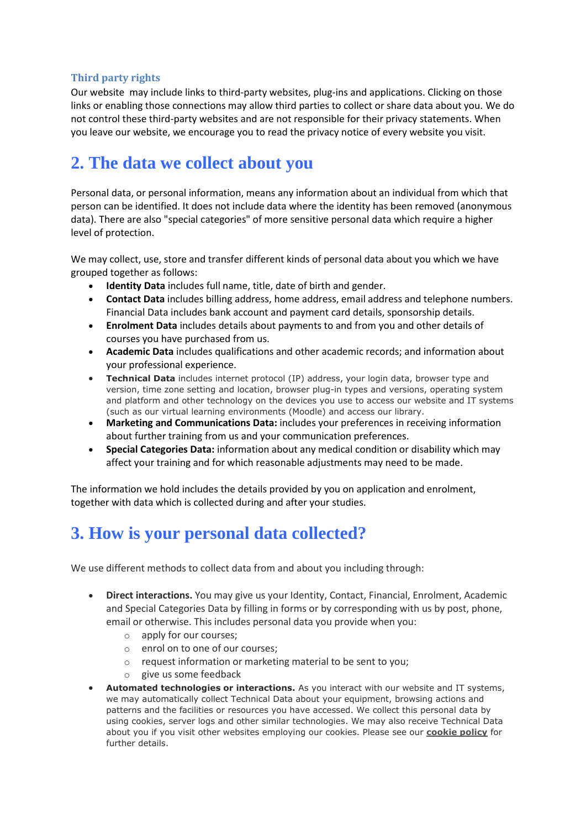#### **Third party rights**

Our website may include links to third-party websites, plug-ins and applications. Clicking on those links or enabling those connections may allow third parties to collect or share data about you. We do not control these third-party websites and are not responsible for their privacy statements. When you leave our website, we encourage you to read the privacy notice of every website you visit.

## **2. The data we collect about you**

Personal data, or personal information, means any information about an individual from which that person can be identified. It does not include data where the identity has been removed (anonymous data). There are also "special categories" of more sensitive personal data which require a higher level of protection.

We may collect, use, store and transfer different kinds of personal data about you which we have grouped together as follows:

- **Identity Data** includes full name, title, date of birth and gender.
- **Contact Data** includes billing address, home address, email address and telephone numbers. Financial Data includes bank account and payment card details, sponsorship details.
- **Enrolment Data** includes details about payments to and from you and other details of courses you have purchased from us.
- **Academic Data** includes qualifications and other academic records; and information about your professional experience.
- **Technical Data** includes internet protocol (IP) address, your login data, browser type and version, time zone setting and location, browser plug-in types and versions, operating system and platform and other technology on the devices you use to access our website and IT systems (such as our virtual learning environments (Moodle) and access our library.
- **Marketing and Communications Data:** includes your preferences in receiving information about further training from us and your communication preferences.
- **Special Categories Data:** information about any medical condition or disability which may affect your training and for which reasonable adjustments may need to be made.

The information we hold includes the details provided by you on application and enrolment, together with data which is collected during and after your studies.

## **3. How is your personal data collected?**

We use different methods to collect data from and about you including through:

- **Direct interactions.** You may give us your Identity, Contact, Financial, Enrolment, Academic and Special Categories Data by filling in forms or by corresponding with us by post, phone, email or otherwise. This includes personal data you provide when you:
	- o apply for our courses;
	- o enrol on to one of our courses;
	- o request information or marketing material to be sent to you;
	- o give us some feedback
- **Automated technologies or interactions.** As you interact with our website and IT systems, we may automatically collect Technical Data about your equipment, browsing actions and patterns and the facilities or resources you have accessed. We collect this personal data by using cookies, server logs and other similar technologies. We may also receive Technical Data about you if you visit other websites employing our cookies. Please see our **[cookie policy](http://www.spti.net/institute/cookiepolicy.shtml)** for further details.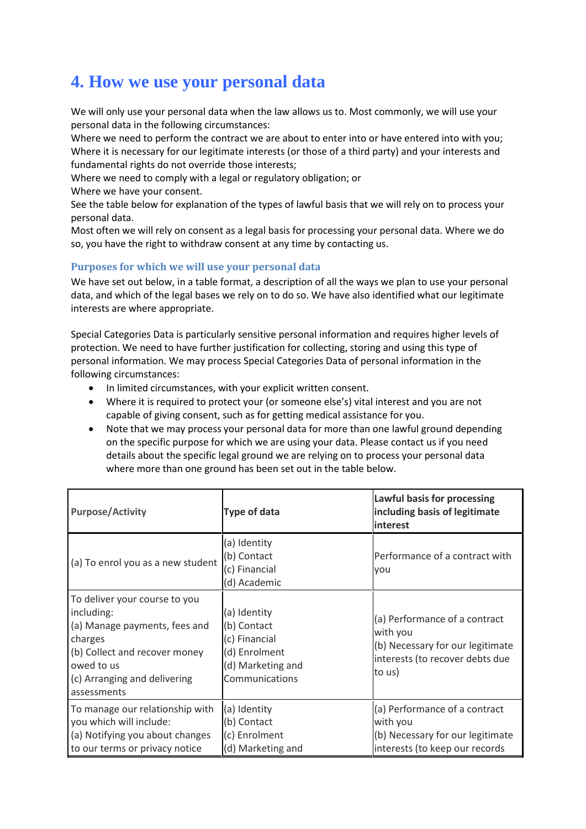## **4. How we use your personal data**

We will only use your personal data when the law allows us to. Most commonly, we will use your personal data in the following circumstances:

Where we need to perform the contract we are about to enter into or have entered into with you; Where it is necessary for our legitimate interests (or those of a third party) and your interests and fundamental rights do not override those interests;

Where we need to comply with a legal or regulatory obligation; or

Where we have your consent.

See the table below for explanation of the types of lawful basis that we will rely on to process your personal data.

Most often we will rely on consent as a legal basis for processing your personal data. Where we do so, you have the right to withdraw consent at any time by contacting us.

#### **Purposes for which we will use your personal data**

We have set out below, in a table format, a description of all the ways we plan to use your personal data, and which of the legal bases we rely on to do so. We have also identified what our legitimate interests are where appropriate.

Special Categories Data is particularly sensitive personal information and requires higher levels of protection. We need to have further justification for collecting, storing and using this type of personal information. We may process Special Categories Data of personal information in the following circumstances:

- In limited circumstances, with your explicit written consent.
- Where it is required to protect your (or someone else's) vital interest and you are not capable of giving consent, such as for getting medical assistance for you.
- Note that we may process your personal data for more than one lawful ground depending on the specific purpose for which we are using your data. Please contact us if you need details about the specific legal ground we are relying on to process your personal data where more than one ground has been set out in the table below.

| <b>Purpose/Activity</b>                                                                                                                                                               | <b>Type of data</b>                                                                                  | Lawful basis for processing<br>including basis of legitimate<br><b>linterest</b>                                           |
|---------------------------------------------------------------------------------------------------------------------------------------------------------------------------------------|------------------------------------------------------------------------------------------------------|----------------------------------------------------------------------------------------------------------------------------|
| (a) To enrol you as a new student                                                                                                                                                     | (a) Identity<br>(b) Contact<br>(c) Financial<br>(d) Academic                                         | Performance of a contract with<br>you                                                                                      |
| To deliver your course to you<br>including:<br>(a) Manage payments, fees and<br>charges<br>(b) Collect and recover money<br>owed to us<br>(c) Arranging and delivering<br>assessments | (a) Identity<br>(b) Contact<br>(c) Financial<br>(d) Enrolment<br>(d) Marketing and<br>Communications | (a) Performance of a contract<br>with you<br>(b) Necessary for our legitimate<br>interests (to recover debts due<br>to us) |
| To manage our relationship with<br>you which will include:<br>(a) Notifying you about changes<br>to our terms or privacy notice                                                       | (a) Identity<br>(b) Contact<br>(c) Enrolment<br>(d) Marketing and                                    | (a) Performance of a contract<br>with you<br>(b) Necessary for our legitimate<br>interests (to keep our records            |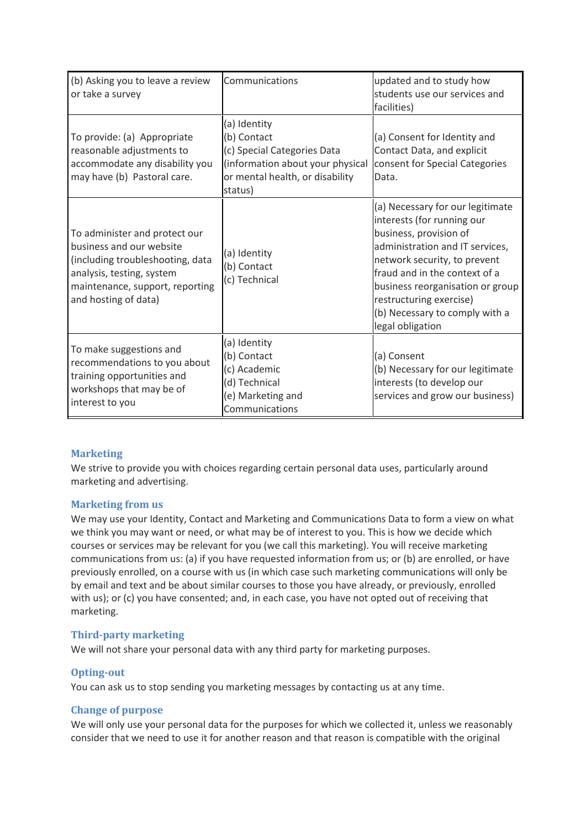| (b) Asking you to leave a review<br>or take a survey                                                                                                                                  | Communications                                                                                                                               | updated and to study how<br>students use our services and<br>facilities)                                                                                                                                                                                                                                          |
|---------------------------------------------------------------------------------------------------------------------------------------------------------------------------------------|----------------------------------------------------------------------------------------------------------------------------------------------|-------------------------------------------------------------------------------------------------------------------------------------------------------------------------------------------------------------------------------------------------------------------------------------------------------------------|
| To provide: (a) Appropriate<br>reasonable adjustments to<br>accommodate any disability you<br>may have (b) Pastoral care.                                                             | (a) Identity<br>(b) Contact<br>(c) Special Categories Data<br>(information about your physical<br>or mental health, or disability<br>status) | (a) Consent for Identity and<br>Contact Data, and explicit<br>consent for Special Categories<br>Data.                                                                                                                                                                                                             |
| To administer and protect our<br>business and our website<br>(including troubleshooting, data<br>analysis, testing, system<br>maintenance, support, reporting<br>and hosting of data) | (a) Identity<br>(b) Contact<br>(c) Technical                                                                                                 | (a) Necessary for our legitimate<br>interests (for running our<br>business, provision of<br>administration and IT services,<br>network security, to prevent<br>fraud and in the context of a<br>business reorganisation or group<br>restructuring exercise)<br>(b) Necessary to comply with a<br>legal obligation |
| To make suggestions and<br>recommendations to you about<br>training opportunities and<br>workshops that may be of<br>interest to you                                                  | (a) Identity<br>(b) Contact<br>(c) Academic<br>(d) Technical<br>(e) Marketing and<br>Communications                                          | (a) Consent<br>(b) Necessary for our legitimate<br>interests (to develop our<br>services and grow our business)                                                                                                                                                                                                   |

#### **Marketing**

We strive to provide you with choices regarding certain personal data uses, particularly around marketing and advertising.

#### **Marketing from us**

We may use your Identity, Contact and Marketing and Communications Data to form a view on what we think you may want or need, or what may be of interest to you. This is how we decide which courses or services may be relevant for you (we call this marketing). You will receive marketing communications from us: (a) if you have requested information from us; or (b) are enrolled, or have previously enrolled, on a course with us (in which case such marketing communications will only be by email and text and be about similar courses to those you have already, or previously, enrolled with us); or (c) you have consented; and, in each case, you have not opted out of receiving that marketing.

#### **Third-party marketing**

We will not share your personal data with any third party for marketing purposes.

#### **Opting-out**

You can ask us to stop sending you marketing messages by contacting us at any time.

#### **Change of purpose**

We will only use your personal data for the purposes for which we collected it, unless we reasonably consider that we need to use it for another reason and that reason is compatible with the original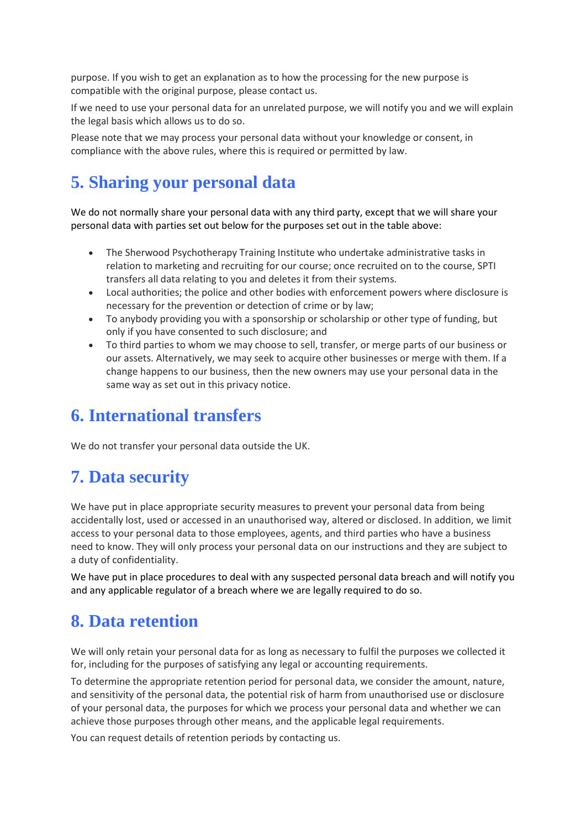purpose. If you wish to get an explanation as to how the processing for the new purpose is compatible with the original purpose, please contact us.

If we need to use your personal data for an unrelated purpose, we will notify you and we will explain the legal basis which allows us to do so.

Please note that we may process your personal data without your knowledge or consent, in compliance with the above rules, where this is required or permitted by law.

# **5. Sharing your personal data**

We do not normally share your personal data with any third party, except that we will share your personal data with parties set out below for the purposes set out in the table above:

- The Sherwood Psychotherapy Training Institute who undertake administrative tasks in relation to marketing and recruiting for our course; once recruited on to the course, SPTI transfers all data relating to you and deletes it from their systems.
- Local authorities; the police and other bodies with enforcement powers where disclosure is necessary for the prevention or detection of crime or by law;
- To anybody providing you with a sponsorship or scholarship or other type of funding, but only if you have consented to such disclosure; and
- To third parties to whom we may choose to sell, transfer, or merge parts of our business or our assets. Alternatively, we may seek to acquire other businesses or merge with them. If a change happens to our business, then the new owners may use your personal data in the same way as set out in this privacy notice.

## **6. International transfers**

We do not transfer your personal data outside the UK.

### **7. Data security**

We have put in place appropriate security measures to prevent your personal data from being accidentally lost, used or accessed in an unauthorised way, altered or disclosed. In addition, we limit access to your personal data to those employees, agents, and third parties who have a business need to know. They will only process your personal data on our instructions and they are subject to a duty of confidentiality.

We have put in place procedures to deal with any suspected personal data breach and will notify you and any applicable regulator of a breach where we are legally required to do so.

## **8. Data retention**

We will only retain your personal data for as long as necessary to fulfil the purposes we collected it for, including for the purposes of satisfying any legal or accounting requirements.

To determine the appropriate retention period for personal data, we consider the amount, nature, and sensitivity of the personal data, the potential risk of harm from unauthorised use or disclosure of your personal data, the purposes for which we process your personal data and whether we can achieve those purposes through other means, and the applicable legal requirements.

You can request details of retention periods by contacting us.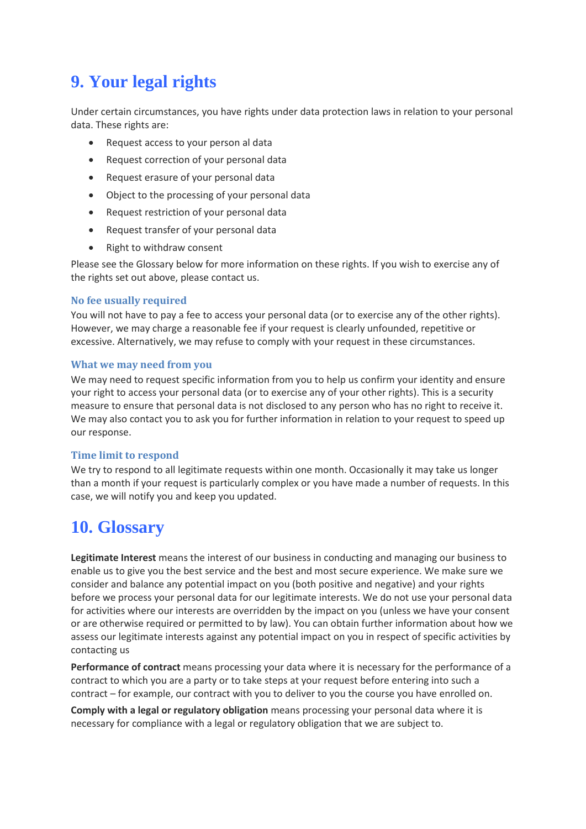## **9. Your legal rights**

Under certain circumstances, you have rights under data protection laws in relation to your personal data. These rights are:

- Request access to your person al data
- Request correction of your personal data
- Request erasure of your personal data
- Object to the processing of your personal data
- Request restriction of your personal data
- Request transfer of your personal data
- Right to withdraw consent

Please see the Glossary below for more information on these rights. If you wish to exercise any of the rights set out above, please contact us.

#### **No fee usually required**

You will not have to pay a fee to access your personal data (or to exercise any of the other rights). However, we may charge a reasonable fee if your request is clearly unfounded, repetitive or excessive. Alternatively, we may refuse to comply with your request in these circumstances.

#### **What we may need from you**

We may need to request specific information from you to help us confirm your identity and ensure your right to access your personal data (or to exercise any of your other rights). This is a security measure to ensure that personal data is not disclosed to any person who has no right to receive it. We may also contact you to ask you for further information in relation to your request to speed up our response.

#### **Time limit to respond**

We try to respond to all legitimate requests within one month. Occasionally it may take us longer than a month if your request is particularly complex or you have made a number of requests. In this case, we will notify you and keep you updated.

### **10. Glossary**

**Legitimate Interest** means the interest of our business in conducting and managing our business to enable us to give you the best service and the best and most secure experience. We make sure we consider and balance any potential impact on you (both positive and negative) and your rights before we process your personal data for our legitimate interests. We do not use your personal data for activities where our interests are overridden by the impact on you (unless we have your consent or are otherwise required or permitted to by law). You can obtain further information about how we assess our legitimate interests against any potential impact on you in respect of specific activities by contacting us

**Performance of contract** means processing your data where it is necessary for the performance of a contract to which you are a party or to take steps at your request before entering into such a contract – for example, our contract with you to deliver to you the course you have enrolled on.

**Comply with a legal or regulatory obligation** means processing your personal data where it is necessary for compliance with a legal or regulatory obligation that we are subject to.